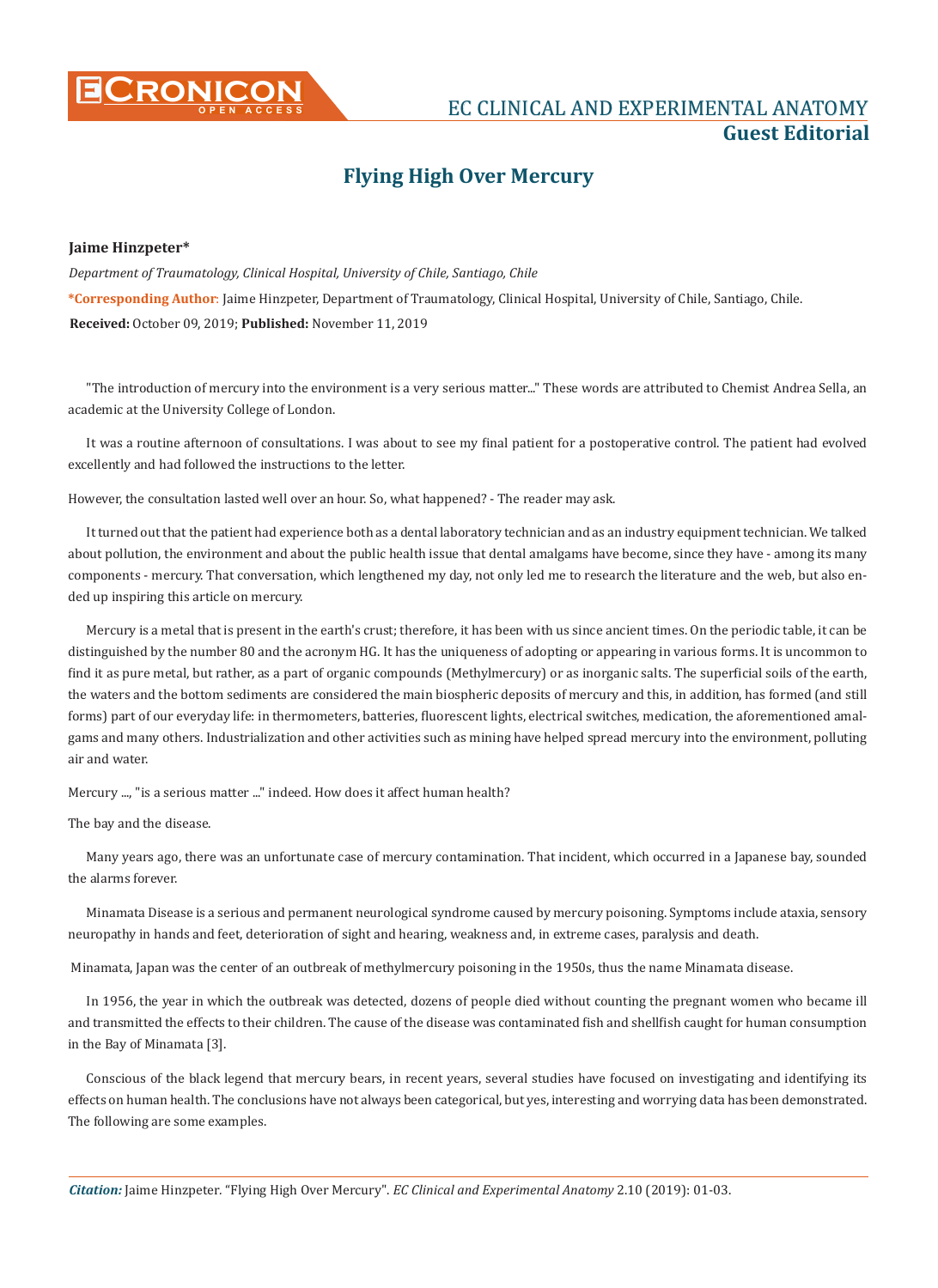

# **CRONICON EXPERIMENTAL ANATOMY CONSTANT AND EXPERIMENTAL ANATOMY Guest Editorial**

# **Flying High Over Mercury**

# **Jaime Hinzpeter\***

*Department of Traumatology, Clinical Hospital, University of Chile, Santiago, Chile* **\*Corresponding Author**: Jaime Hinzpeter, Department of Traumatology, Clinical Hospital, University of Chile, Santiago, Chile. **Received:** October 09, 2019; **Published:** November 11, 2019

"The introduction of mercury into the environment is a very serious matter..." These words are attributed to Chemist Andrea Sella, an academic at the University College of London.

It was a routine afternoon of consultations. I was about to see my final patient for a postoperative control. The patient had evolved excellently and had followed the instructions to the letter.

However, the consultation lasted well over an hour. So, what happened? - The reader may ask.

It turned out that the patient had experience both as a dental laboratory technician and as an industry equipment technician. We talked about pollution, the environment and about the public health issue that dental amalgams have become, since they have - among its many components - mercury. That conversation, which lengthened my day, not only led me to research the literature and the web, but also ended up inspiring this article on mercury.

Mercury is a metal that is present in the earth's crust; therefore, it has been with us since ancient times. On the periodic table, it can be distinguished by the number 80 and the acronym HG. It has the uniqueness of adopting or appearing in various forms. It is uncommon to find it as pure metal, but rather, as a part of organic compounds (Methylmercury) or as inorganic salts. The superficial soils of the earth, the waters and the bottom sediments are considered the main biospheric deposits of mercury and this, in addition, has formed (and still forms) part of our everyday life: in thermometers, batteries, fluorescent lights, electrical switches, medication, the aforementioned amalgams and many others. Industrialization and other activities such as mining have helped spread mercury into the environment, polluting air and water.

Mercury ..., "is a serious matter ..." indeed. How does it affect human health?

The bay and the disease.

Many years ago, there was an unfortunate case of mercury contamination. That incident, which occurred in a Japanese bay, sounded the alarms forever.

Minamata Disease is a serious and permanent neurological syndrome caused by mercury poisoning. Symptoms include ataxia, sensory neuropathy in hands and feet, deterioration of sight and hearing, weakness and, in extreme cases, paralysis and death.

Minamata, Japan was the center of an outbreak of methylmercury poisoning in the 1950s, thus the name Minamata disease.

In 1956, the year in which the outbreak was detected, dozens of people died without counting the pregnant women who became ill and transmitted the effects to their children. The cause of the disease was contaminated fish and shellfish caught for human consumption in the Bay of Minamata [3].

Conscious of the black legend that mercury bears, in recent years, several studies have focused on investigating and identifying its effects on human health. The conclusions have not always been categorical, but yes, interesting and worrying data has been demonstrated. The following are some examples.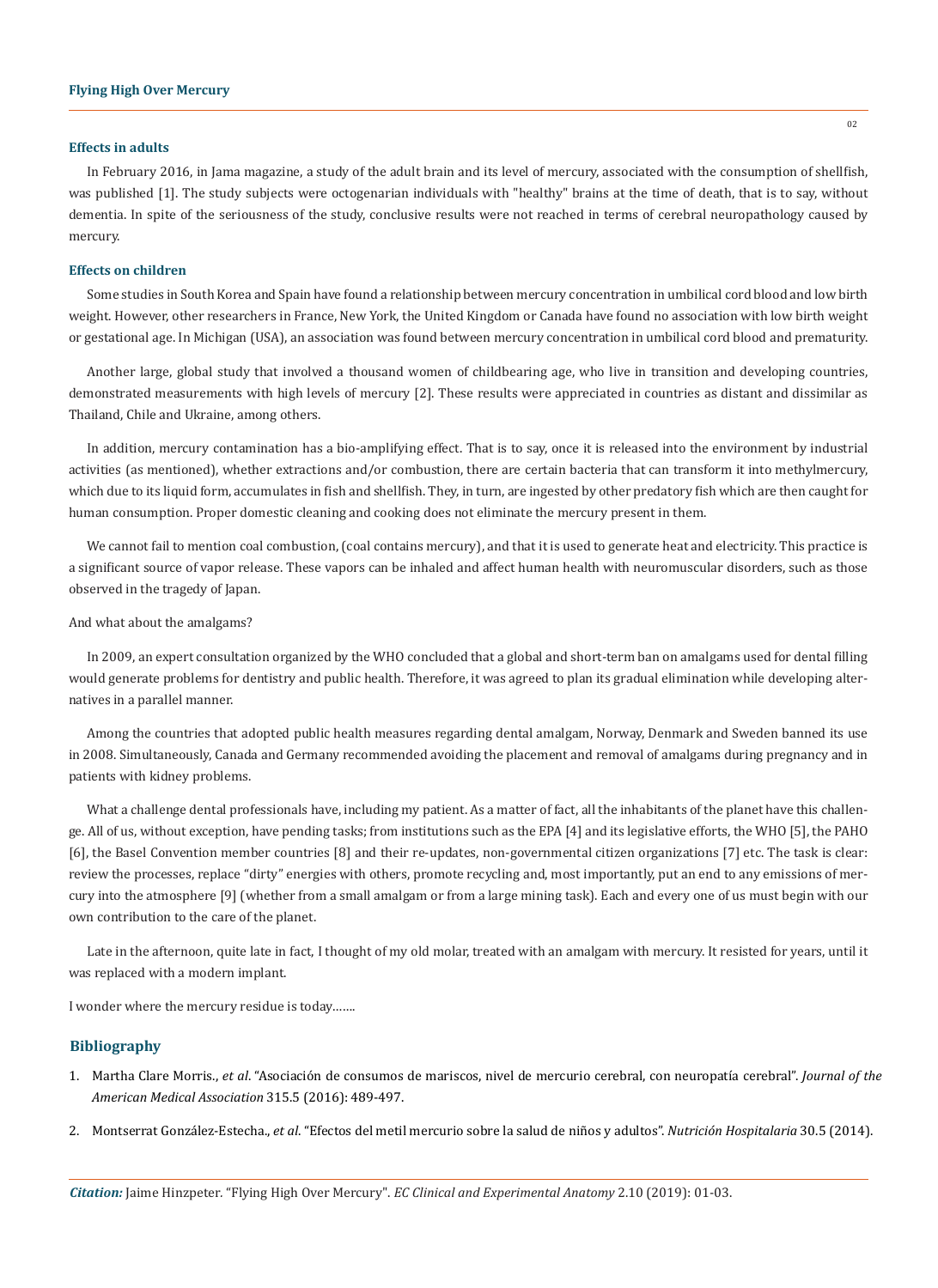#### **Effects in adults**

In February 2016, in Jama magazine, a study of the adult brain and its level of mercury, associated with the consumption of shellfish, was published [1]. The study subjects were octogenarian individuals with "healthy" brains at the time of death, that is to say, without dementia. In spite of the seriousness of the study, conclusive results were not reached in terms of cerebral neuropathology caused by mercury.

## **Effects on children**

Some studies in South Korea and Spain have found a relationship between mercury concentration in umbilical cord blood and low birth weight. However, other researchers in France, New York, the United Kingdom or Canada have found no association with low birth weight or gestational age. In Michigan (USA), an association was found between mercury concentration in umbilical cord blood and prematurity.

Another large, global study that involved a thousand women of childbearing age, who live in transition and developing countries, demonstrated measurements with high levels of mercury [2]. These results were appreciated in countries as distant and dissimilar as Thailand, Chile and Ukraine, among others.

In addition, mercury contamination has a bio-amplifying effect. That is to say, once it is released into the environment by industrial activities (as mentioned), whether extractions and/or combustion, there are certain bacteria that can transform it into methylmercury, which due to its liquid form, accumulates in fish and shellfish. They, in turn, are ingested by other predatory fish which are then caught for human consumption. Proper domestic cleaning and cooking does not eliminate the mercury present in them.

We cannot fail to mention coal combustion, (coal contains mercury), and that it is used to generate heat and electricity. This practice is a significant source of vapor release. These vapors can be inhaled and affect human health with neuromuscular disorders, such as those observed in the tragedy of Japan.

## And what about the amalgams?

In 2009, an expert consultation organized by the WHO concluded that a global and short-term ban on amalgams used for dental filling would generate problems for dentistry and public health. Therefore, it was agreed to plan its gradual elimination while developing alternatives in a parallel manner.

Among the countries that adopted public health measures regarding dental amalgam, Norway, Denmark and Sweden banned its use in 2008. Simultaneously, Canada and Germany recommended avoiding the placement and removal of amalgams during pregnancy and in patients with kidney problems.

What a challenge dental professionals have, including my patient. As a matter of fact, all the inhabitants of the planet have this challenge. All of us, without exception, have pending tasks; from institutions such as the EPA [4] and its legislative efforts, the WHO [5], the PAHO [6], the Basel Convention member countries [8] and their re-updates, non-governmental citizen organizations [7] etc. The task is clear: review the processes, replace "dirty" energies with others, promote recycling and, most importantly, put an end to any emissions of mercury into the atmosphere [9] (whether from a small amalgam or from a large mining task). Each and every one of us must begin with our own contribution to the care of the planet.

Late in the afternoon, quite late in fact, I thought of my old molar, treated with an amalgam with mercury. It resisted for years, until it was replaced with a modern implant.

I wonder where the mercury residue is today…….

# **Bibliography**

- 1. Martha Clare Morris., *et al*[. "Asociación de consumos de mariscos, nivel de mercurio cerebral, con neuropatía cerebral".](https://www.ncbi.nlm.nih.gov/pubmed/26836731) *Journal of the [American Medical Association](https://www.ncbi.nlm.nih.gov/pubmed/26836731)* 315.5 (2016): 489-497.
- 2. Montserrat González-Estecha., *et al*[. "Efectos del metil mercurio sobre la salud de niños y adultos".](http://scielo.isciii.es/scielo.php?script=sci_arttext&pid=S0212-16112014001200003) *Nutrición Hospitalaria* 30.5 (2014).